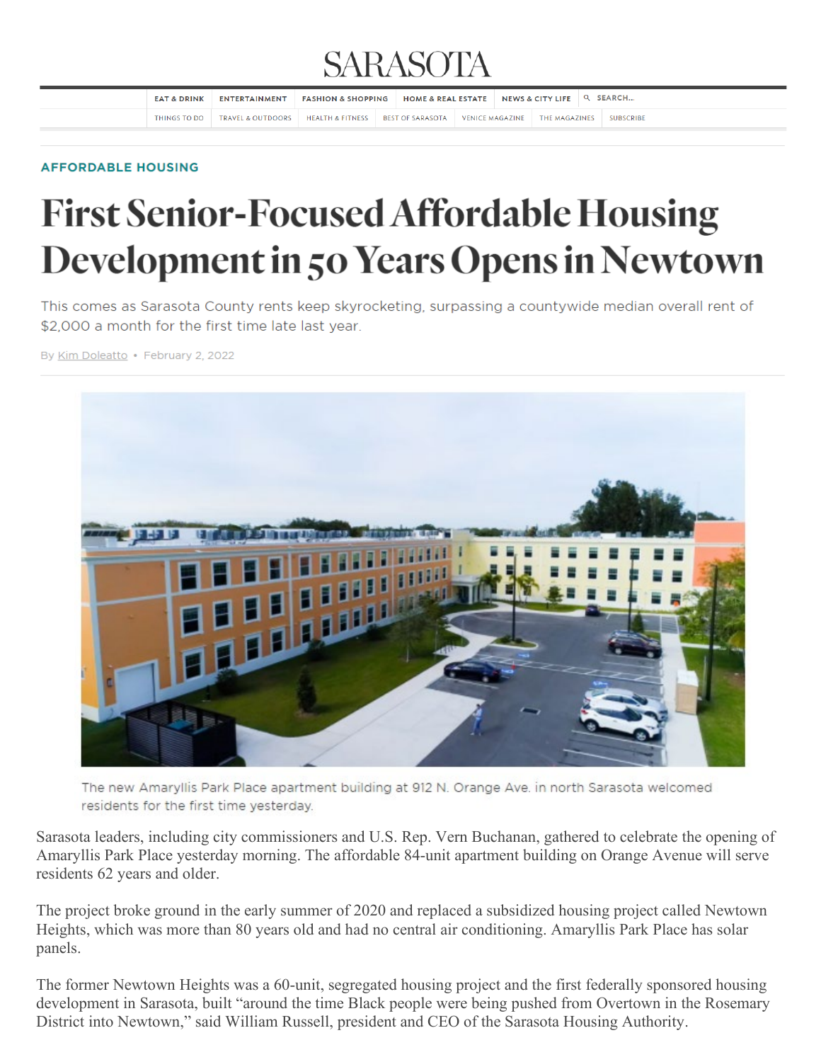## **SARASOTA**

| <b>EAT &amp; DRINK</b> | ENTERTAINMENT                                           | <b>FASHION &amp; SHOPPING</b> | HOME & REAL ESTATE NEWS & CITY LIFE Q SEARCH |  |                                 |                  |
|------------------------|---------------------------------------------------------|-------------------------------|----------------------------------------------|--|---------------------------------|------------------|
| THINGS TO DO           | TRAVEL & OUTDOORS   HEALTH & FITNESS   BEST OF SARASOTA |                               |                                              |  | VENICE MAGAZINE   THE MAGAZINES | <b>SUBSCRIBE</b> |

## **AFFORDABLE HOUSING**

## **First Senior-Focused Affordable Housing** Development in 50 Years Opens in Newtown

This comes as Sarasota County rents keep skyrocketing, surpassing a countywide median overall rent of \$2,000 a month for the first time late last year.

By Kim Doleatto · February 2, 2022



The new Amaryllis Park Place apartment building at 912 N. Orange Ave. in north Sarasota welcomed residents for the first time vesterday.

Sarasota leaders, including city commissioners and U.S. Rep. Vern Buchanan, gathered to celebrate the opening of Amaryllis Park Place yesterday morning. The affordable 84-unit apartment building on Orange Avenue will serve residents 62 years and older.

The project broke ground in the early summer of 2020 and replaced a subsidized housing project called Newtown Heights, which was more than 80 years old and had no central air conditioning. Amaryllis Park Place has solar panels.

The former Newtown Heights was a 60-unit, segregated housing project and the first federally sponsored housing development in Sarasota, built "around the time Black people were being pushed from Overtown in the Rosemary District into Newtown," said William Russell, president and CEO of the Sarasota Housing Authority.